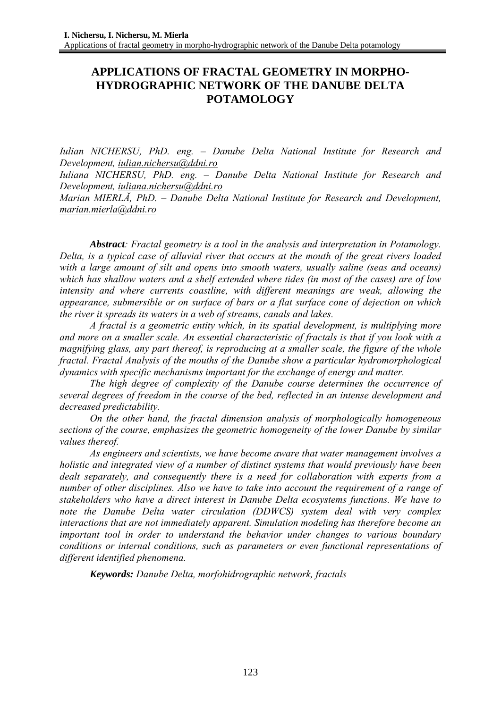# **APPLICATIONS OF FRACTAL GEOMETRY IN MORPHO-HYDROGRAPHIC NETWORK OF THE DANUBE DELTA POTAMOLOGY**

*Iulian NICHERSU, PhD. eng. – Danube Delta National Institute for Research and Development, iulian.nichersu@ddni.ro*

*Iuliana NICHERSU, PhD. eng. – Danube Delta National Institute for Research and Development, iuliana.nichersu@ddni.ro*

*Marian MIERLĂ, PhD. – Danube Delta National Institute for Research and Development, marian.mierla@ddni.ro*

*Abstract: Fractal geometry is a tool in the analysis and interpretation in Potamology. Delta, is a typical case of alluvial river that occurs at the mouth of the great rivers loaded with a large amount of silt and opens into smooth waters, usually saline (seas and oceans) which has shallow waters and a shelf extended where tides (in most of the cases) are of low intensity and where currents coastline, with different meanings are weak, allowing the appearance, submersible or on surface of bars or a flat surface cone of dejection on which the river it spreads its waters in a web of streams, canals and lakes.* 

*A fractal is a geometric entity which, in its spatial development, is multiplying more and more on a smaller scale. An essential characteristic of fractals is that if you look with a magnifying glass, any part thereof, is reproducing at a smaller scale, the figure of the whole fractal. Fractal Analysis of the mouths of the Danube show a particular hydromorphological dynamics with specific mechanisms important for the exchange of energy and matter.* 

*The high degree of complexity of the Danube course determines the occurrence of several degrees of freedom in the course of the bed, reflected in an intense development and decreased predictability.* 

*On the other hand, the fractal dimension analysis of morphologically homogeneous sections of the course, emphasizes the geometric homogeneity of the lower Danube by similar values thereof.* 

*As engineers and scientists, we have become aware that water management involves a holistic and integrated view of a number of distinct systems that would previously have been dealt separately, and consequently there is a need for collaboration with experts from a number of other disciplines. Also we have to take into account the requirement of a range of stakeholders who have a direct interest in Danube Delta ecosystems functions. We have to note the Danube Delta water circulation (DDWCS) system deal with very complex interactions that are not immediately apparent. Simulation modeling has therefore become an important tool in order to understand the behavior under changes to various boundary conditions or internal conditions, such as parameters or even functional representations of different identified phenomena.* 

*Keywords: Danube Delta, morfohidrographic network, fractals*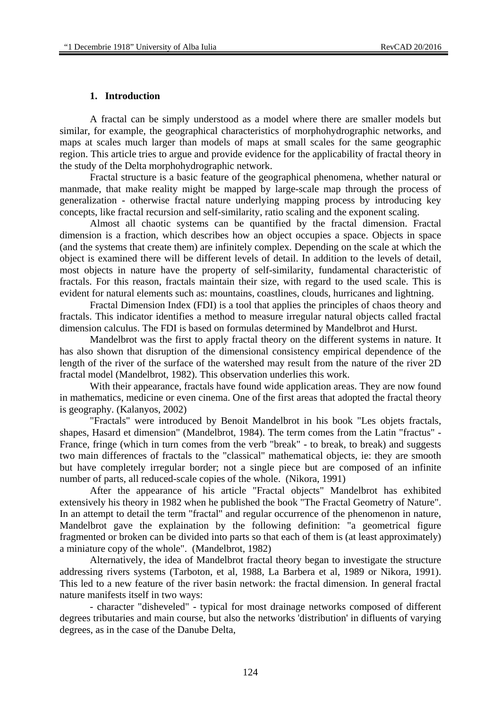#### **1. Introduction**

A fractal can be simply understood as a model where there are smaller models but similar, for example, the geographical characteristics of morphohydrographic networks, and maps at scales much larger than models of maps at small scales for the same geographic region. This article tries to argue and provide evidence for the applicability of fractal theory in the study of the Delta morphohydrographic network.

Fractal structure is a basic feature of the geographical phenomena, whether natural or manmade, that make reality might be mapped by large-scale map through the process of generalization - otherwise fractal nature underlying mapping process by introducing key concepts, like fractal recursion and self-similarity, ratio scaling and the exponent scaling.

Almost all chaotic systems can be quantified by the fractal dimension. Fractal dimension is a fraction, which describes how an object occupies a space. Objects in space (and the systems that create them) are infinitely complex. Depending on the scale at which the object is examined there will be different levels of detail. In addition to the levels of detail, most objects in nature have the property of self-similarity, fundamental characteristic of fractals. For this reason, fractals maintain their size, with regard to the used scale. This is evident for natural elements such as: mountains, coastlines, clouds, hurricanes and lightning.

Fractal Dimension Index (FDI) is a tool that applies the principles of chaos theory and fractals. This indicator identifies a method to measure irregular natural objects called fractal dimension calculus. The FDI is based on formulas determined by Mandelbrot and Hurst.

Mandelbrot was the first to apply fractal theory on the different systems in nature. It has also shown that disruption of the dimensional consistency empirical dependence of the length of the river of the surface of the watershed may result from the nature of the river 2D fractal model (Mandelbrot, 1982). This observation underlies this work.

With their appearance, fractals have found wide application areas. They are now found in mathematics, medicine or even cinema. One of the first areas that adopted the fractal theory is geography. (Kalanyos, 2002)

"Fractals" were introduced by Benoit Mandelbrot in his book "Les objets fractals, shapes, Hasard et dimension" (Mandelbrot, 1984). The term comes from the Latin "fractus" - France, fringe (which in turn comes from the verb "break" - to break, to break) and suggests two main differences of fractals to the "classical" mathematical objects, ie: they are smooth but have completely irregular border; not a single piece but are composed of an infinite number of parts, all reduced-scale copies of the whole. (Nikora, 1991)

After the appearance of his article "Fractal objects" Mandelbrot has exhibited extensively his theory in 1982 when he published the book "The Fractal Geometry of Nature". In an attempt to detail the term "fractal" and regular occurrence of the phenomenon in nature, Mandelbrot gave the explaination by the following definition: "a geometrical figure fragmented or broken can be divided into parts so that each of them is (at least approximately) a miniature copy of the whole". (Mandelbrot, 1982)

Alternatively, the idea of Mandelbrot fractal theory began to investigate the structure addressing rivers systems (Tarboton, et al, 1988, La Barbera et al, 1989 or Nikora, 1991). This led to a new feature of the river basin network: the fractal dimension. In general fractal nature manifests itself in two ways:

- character "disheveled" - typical for most drainage networks composed of different degrees tributaries and main course, but also the networks 'distribution' in difluents of varying degrees, as in the case of the Danube Delta,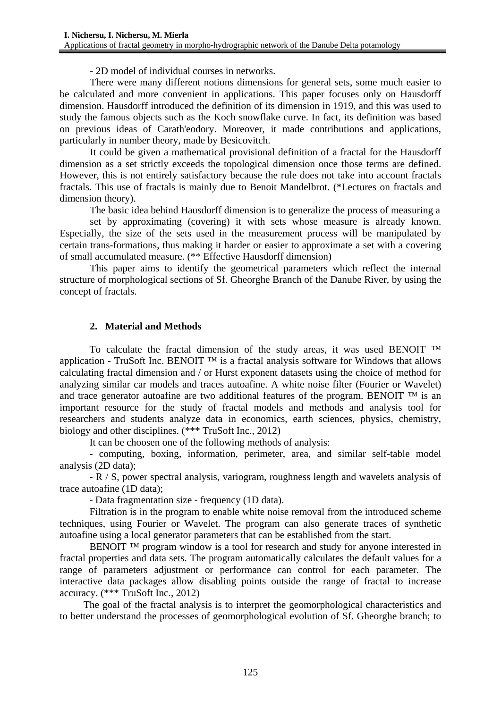- 2D model of individual courses in networks.

There were many different notions dimensions for general sets, some much easier to be calculated and more convenient in applications. This paper focuses only on Hausdorff dimension. Hausdorff introduced the definition of its dimension in 1919, and this was used to study the famous objects such as the Koch snowflake curve. In fact, its definition was based on previous ideas of Carath'eodory. Moreover, it made contributions and applications, particularly in number theory, made by Besicovitch.

It could be given a mathematical provisional definition of a fractal for the Hausdorff dimension as a set strictly exceeds the topological dimension once those terms are defined. However, this is not entirely satisfactory because the rule does not take into account fractals fractals. This use of fractals is mainly due to Benoit Mandelbrot. (\*Lectures on fractals and dimension theory).

The basic idea behind Hausdorff dimension is to generalize the process of measuring a

set by approximating (covering) it with sets whose measure is already known. Especially, the size of the sets used in the measurement process will be manipulated by certain trans-formations, thus making it harder or easier to approximate a set with a covering of small accumulated measure. (\*\* Effective Hausdorff dimension)

This paper aims to identify the geometrical parameters which reflect the internal structure of morphological sections of Sf. Gheorghe Branch of the Danube River, by using the concept of fractals.

## **2. Material and Methods**

To calculate the fractal dimension of the study areas, it was used BENOIT ™ application - TruSoft Inc. BENOIT ™ is a fractal analysis software for Windows that allows calculating fractal dimension and / or Hurst exponent datasets using the choice of method for analyzing similar car models and traces autoafine. A white noise filter (Fourier or Wavelet) and trace generator autoafine are two additional features of the program. BENOIT  $^{TM}$  is an important resource for the study of fractal models and methods and analysis tool for researchers and students analyze data in economics, earth sciences, physics, chemistry, biology and other disciplines. (\*\*\* TruSoft Inc., 2012)

It can be choosen one of the following methods of analysis:

- computing, boxing, information, perimeter, area, and similar self-table model analysis (2D data);

- R / S, power spectral analysis, variogram, roughness length and wavelets analysis of trace autoafine (1D data);

- Data fragmentation size - frequency (1D data).

Filtration is in the program to enable white noise removal from the introduced scheme techniques, using Fourier or Wavelet. The program can also generate traces of synthetic autoafine using a local generator parameters that can be established from the start.

BENOIT <sup>TM</sup> program window is a tool for research and study for anyone interested in fractal properties and data sets. The program automatically calculates the default values for a range of parameters adjustment or performance can control for each parameter. The interactive data packages allow disabling points outside the range of fractal to increase accuracy. (\*\*\* TruSoft Inc., 2012)

The goal of the fractal analysis is to interpret the geomorphological characteristics and to better understand the processes of geomorphological evolution of Sf. Gheorghe branch; to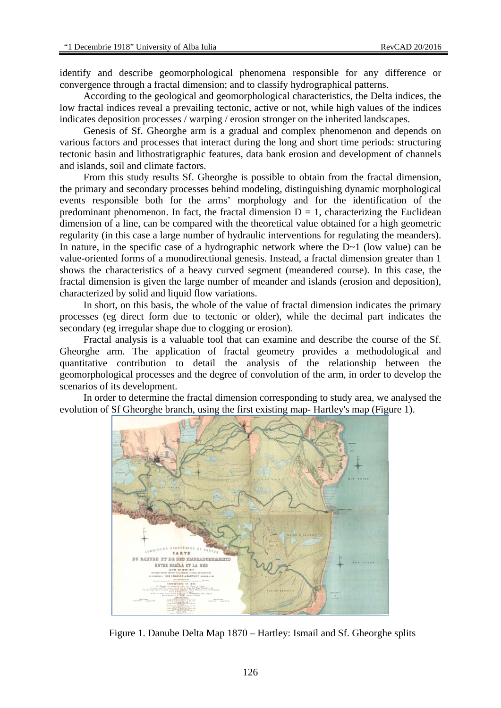identify and describe geomorphological phenomena responsible for any difference or convergence through a fractal dimension; and to classify hydrographical patterns.

According to the geological and geomorphological characteristics, the Delta indices, the low fractal indices reveal a prevailing tectonic, active or not, while high values of the indices indicates deposition processes / warping / erosion stronger on the inherited landscapes.

Genesis of Sf. Gheorghe arm is a gradual and complex phenomenon and depends on various factors and processes that interact during the long and short time periods: structuring tectonic basin and lithostratigraphic features, data bank erosion and development of channels and islands, soil and climate factors.

From this study results Sf. Gheorghe is possible to obtain from the fractal dimension, the primary and secondary processes behind modeling, distinguishing dynamic morphological events responsible both for the arms' morphology and for the identification of the predominant phenomenon. In fact, the fractal dimension  $D = 1$ , characterizing the Euclidean dimension of a line, can be compared with the theoretical value obtained for a high geometric regularity (in this case a large number of hydraulic interventions for regulating the meanders). In nature, in the specific case of a hydrographic network where the D~1 (low value) can be value-oriented forms of a monodirectional genesis. Instead, a fractal dimension greater than 1 shows the characteristics of a heavy curved segment (meandered course). In this case, the fractal dimension is given the large number of meander and islands (erosion and deposition), characterized by solid and liquid flow variations.

In short, on this basis, the whole of the value of fractal dimension indicates the primary processes (eg direct form due to tectonic or older), while the decimal part indicates the secondary (eg irregular shape due to clogging or erosion).

Fractal analysis is a valuable tool that can examine and describe the course of the Sf. Gheorghe arm. The application of fractal geometry provides a methodological and quantitative contribution to detail the analysis of the relationship between the geomorphological processes and the degree of convolution of the arm, in order to develop the scenarios of its development.

In order to determine the fractal dimension corresponding to study area, we analysed the evolution of Sf Gheorghe branch, using the first existing map- Hartley's map (Figure 1).



Figure 1. Danube Delta Map 1870 – Hartley: Ismail and Sf. Gheorghe splits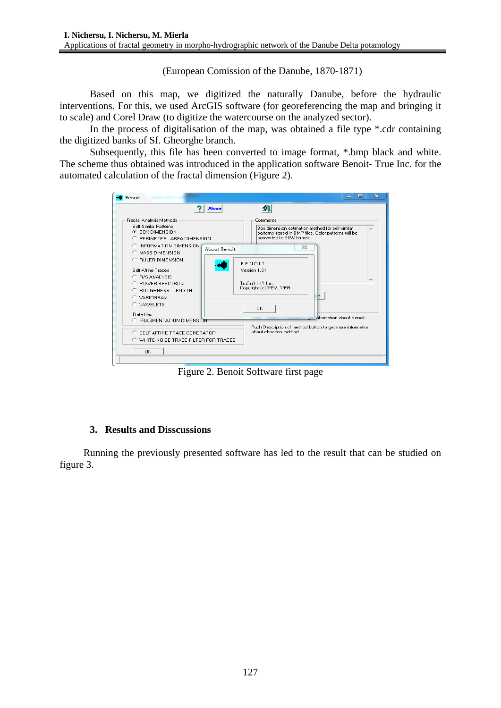(European Comission of the Danube, 1870-1871)

Based on this map, we digitized the naturally Danube, before the hydraulic interventions. For this, we used ArcGIS software (for georeferencing the map and bringing it to scale) and Corel Draw (to digitize the watercourse on the analyzed sector).

In the process of digitalisation of the map, was obtained a file type \*.cdr containing the digitized banks of Sf. Gheorghe branch.

Subsequently, this file has been converted to image format, \*.bmp black and white. The scheme thus obtained was introduced in the application software Benoit- True Inc. for the automated calculation of the fractal dimension (Figure 2).

|                                                                                                                                                                               | <b>About</b>        |                               | 乳                                                                                                                                                |
|-------------------------------------------------------------------------------------------------------------------------------------------------------------------------------|---------------------|-------------------------------|--------------------------------------------------------------------------------------------------------------------------------------------------|
| Fractal Analysis Methods<br>Self-Similar Patterns<br><b>E</b> BOX DIMENSION<br>C PERIMETER - AREA DIMENSION                                                                   |                     |                               | Comments<br>Box dimension estimation method for self-similar<br>patterns stored in BMP files. Color patterns will be<br>converted to B&W format. |
| C INFORMATION DIMENSION.<br>C MASS DIMENSION                                                                                                                                  | <b>About Benoit</b> |                               | $\Sigma$                                                                                                                                         |
| C RULER DIMENSION<br>Self-Affine Traces<br>C B/S ANALYSIS<br>C POWER SPECTRUM<br>C ROUGHNESS - LENGTH<br>C VARIOGRAM<br>C WAVELETS<br>Data files<br>C FRAGMENTATION DIMENSION |                     | <b>BENOIT</b><br>Version 1.31 | TruSoft Int'l. Inc.<br>Copyright (c) 1997, 1999<br>Id<br>ΩK.<br><b>Aformation about Benoit.</b>                                                  |
| C SELF-AFFINE TRACE GENERATOR<br>C WHITE NOISE TRACE FILTER FOR TRACES                                                                                                        |                     |                               | Push Description of method button to get more information<br>about choosen method.                                                               |
| <b>OK</b>                                                                                                                                                                     |                     |                               |                                                                                                                                                  |

Figure 2. Benoit Software first page

## **3. Results and Disscussions**

Running the previously presented software has led to the result that can be studied on figure 3.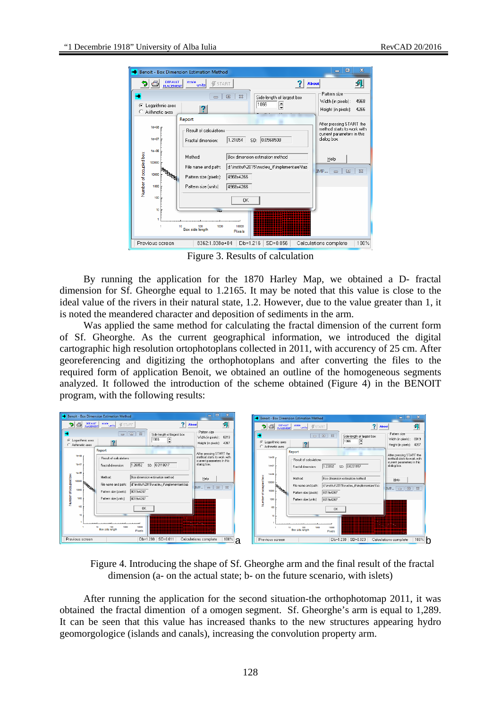

Figure 3. Results of calculation

By running the application for the 1870 Harley Map, we obtained a D- fractal dimension for Sf. Gheorghe equal to 1.2165. It may be noted that this value is close to the ideal value of the rivers in their natural state, 1.2. However, due to the value greater than 1, it is noted the meandered character and deposition of sediments in the arm.

Was applied the same method for calculating the fractal dimension of the current form of Sf. Gheorghe. As the current geographical information, we introduced the digital cartographic high resolution ortophotoplans collected in 2011, with accurency of 25 cm. After georeferencing and digitizing the orthophotoplans and after converting the files to the required form of application Benoit, we obtained an outline of the homogeneous segments analyzed. It followed the introduction of the scheme obtained (Figure 4) in the BENOIT program, with the following results:

| <b>Benoit - Box Dimension Estimation Method</b>                                                                                                                                                                       | $\mathbf{Z}$<br>- 0                                                                                 | Benoit - Box Dimension Estimation Method                                                                                                                                                                                                                        | $\qquad \qquad \Box$<br>$\mathbf{x}$                                                                |
|-----------------------------------------------------------------------------------------------------------------------------------------------------------------------------------------------------------------------|-----------------------------------------------------------------------------------------------------|-----------------------------------------------------------------------------------------------------------------------------------------------------------------------------------------------------------------------------------------------------------------|-----------------------------------------------------------------------------------------------------|
| 96<br><b>DEFAULT</b><br>scale<br><b>修START</b><br>units<br><b>PLACEMENT</b>                                                                                                                                           | 红<br><b>About</b>                                                                                   | soale<br>?<br>$\trianglelefteq$<br><b>DEFAULT</b><br><b>SSTART</b><br>Э<br><b>About</b><br>`units!<br><b>PLACEMENT</b>                                                                                                                                          | 团                                                                                                   |
| $\Box$<br>$\Sigma$<br>$\qquad \qquad \Box$<br>Side-length of largest box<br>1066<br>÷<br>C Logarithmic axes<br>C Arithmetic axes                                                                                      | Pattern size<br>Width (in pixels):<br>8019<br>4267<br>Height (in pixels):                           | $\Sigma$<br>$\Box$<br>Side-length of largest box<br>$\qquad \qquad \Box$<br>1066<br>E<br>C Logarithmic axes<br>Arithmetic axes                                                                                                                                  | Pattern size<br>Width [in pixels]:<br>8019<br>Height (in pixels):<br>4267                           |
| Report<br>$1e + 08$<br>- Result of calculations<br>$1e + 07$<br>SD: 0.0118617<br>1.28852<br>Fractal dimension:<br>$16 + 06$<br>Box dimension estimation method<br>Method:                                             | After pressing START the<br>method starts to work with<br>current parameters in this<br>dialog box. | Report<br>$1e + 08$<br>- Result of calculations<br>$1e + 07$<br>SD: 0.0231157<br>1.23092<br>Fractal dimension:<br>$10 + 06$<br>ŏ                                                                                                                                | After pressing START the<br>method starts to work with<br>current parameters in this<br>dialog box. |
| Number of occupied box<br>00000<br><b>POSSOR</b><br>d: \institut\2015\nucleu_if\implementare\faz-<br>File name and path:<br>10000<br>8019x4267<br>Pattern size (pixels):<br>8019x4267<br>1000<br>Pattern size (units) | Help<br>$\Box$<br>$\frac{1}{2}$<br>IMP<br>$\qquad \qquad =$<br>----------                           | Box dimension estimation method<br>Method:<br>Ţ<br>100000<br>d:\institut\2015\nucleu if\implementare\faz-<br>File name and path:<br><b>REGISTER</b><br>10000<br>8019x4267<br>Pattern size (pixels):<br>ъ<br>Jumber<br>8019x4267<br>Pattern size [units]<br>1000 | Help<br>$\Box$<br>53<br>$IMP \nightharpoonup$<br>,,,,,,,,,,                                         |
| 100<br><b>OK</b><br>x<br>1000<br>10000<br>10<br>100<br><b>Box side length</b><br><br>Pixels                                                                                                                           |                                                                                                     | 100<br>0K<br>$\overline{\phantom{a}}$<br>10<br>--------------------------------------<br>-----------------------------<br>10000<br>100<br>1000<br>Box side length<br>Pixels                                                                                     | .<br>---------<br>---------                                                                         |
| Db=1.288 SD=0.011<br>Previous screen                                                                                                                                                                                  | Calculations complete<br>$100\%$                                                                    | Db=1.230 SD=0.023<br>Previous screen<br>d                                                                                                                                                                                                                       | 100%<br>Calculations complete<br>h                                                                  |

Figure 4. Introducing the shape of Sf. Gheorghe arm and the final result of the fractal dimension (a- on the actual state; b- on the future scenario, with islets)

After running the application for the second situation-the orthophotomap 2011, it was obtained the fractal dimention of a omogen segment. Sf. Gheorghe's arm is equal to 1,289. It can be seen that this value has increased thanks to the new structures appearing hydro geomorgologice (islands and canals), increasing the convolution property arm.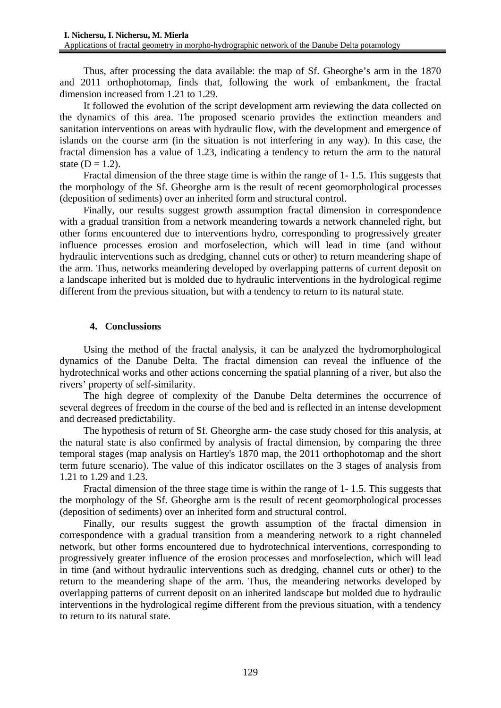Thus, after processing the data available: the map of Sf. Gheorghe's arm in the 1870 and 2011 orthophotomap, finds that, following the work of embankment, the fractal dimension increased from 1.21 to 1.29.

It followed the evolution of the script development arm reviewing the data collected on the dynamics of this area. The proposed scenario provides the extinction meanders and sanitation interventions on areas with hydraulic flow, with the development and emergence of islands on the course arm (in the situation is not interfering in any way). In this case, the fractal dimension has a value of 1.23, indicating a tendency to return the arm to the natural state  $(D = 1.2)$ .

Fractal dimension of the three stage time is within the range of 1- 1.5. This suggests that the morphology of the Sf. Gheorghe arm is the result of recent geomorphological processes (deposition of sediments) over an inherited form and structural control.

Finally, our results suggest growth assumption fractal dimension in correspondence with a gradual transition from a network meandering towards a network channeled right, but other forms encountered due to interventions hydro, corresponding to progressively greater influence processes erosion and morfoselection, which will lead in time (and without hydraulic interventions such as dredging, channel cuts or other) to return meandering shape of the arm. Thus, networks meandering developed by overlapping patterns of current deposit on a landscape inherited but is molded due to hydraulic interventions in the hydrological regime different from the previous situation, but with a tendency to return to its natural state.

## **4. Conclussions**

Using the method of the fractal analysis, it can be analyzed the hydromorphological dynamics of the Danube Delta. The fractal dimension can reveal the influence of the hydrotechnical works and other actions concerning the spatial planning of a river, but also the rivers' property of self-similarity.

The high degree of complexity of the Danube Delta determines the occurrence of several degrees of freedom in the course of the bed and is reflected in an intense development and decreased predictability.

The hypothesis of return of Sf. Gheorghe arm- the case study chosed for this analysis, at the natural state is also confirmed by analysis of fractal dimension, by comparing the three temporal stages (map analysis on Hartley's 1870 map, the 2011 orthophotomap and the short term future scenario). The value of this indicator oscillates on the 3 stages of analysis from 1.21 to 1.29 and 1.23.

Fractal dimension of the three stage time is within the range of 1- 1.5. This suggests that the morphology of the Sf. Gheorghe arm is the result of recent geomorphological processes (deposition of sediments) over an inherited form and structural control.

Finally, our results suggest the growth assumption of the fractal dimension in correspondence with a gradual transition from a meandering network to a right channeled network, but other forms encountered due to hydrotechnical interventions, corresponding to progressively greater influence of the erosion processes and morfoselection, which will lead in time (and without hydraulic interventions such as dredging, channel cuts or other) to the return to the meandering shape of the arm. Thus, the meandering networks developed by overlapping patterns of current deposit on an inherited landscape but molded due to hydraulic interventions in the hydrological regime different from the previous situation, with a tendency to return to its natural state.